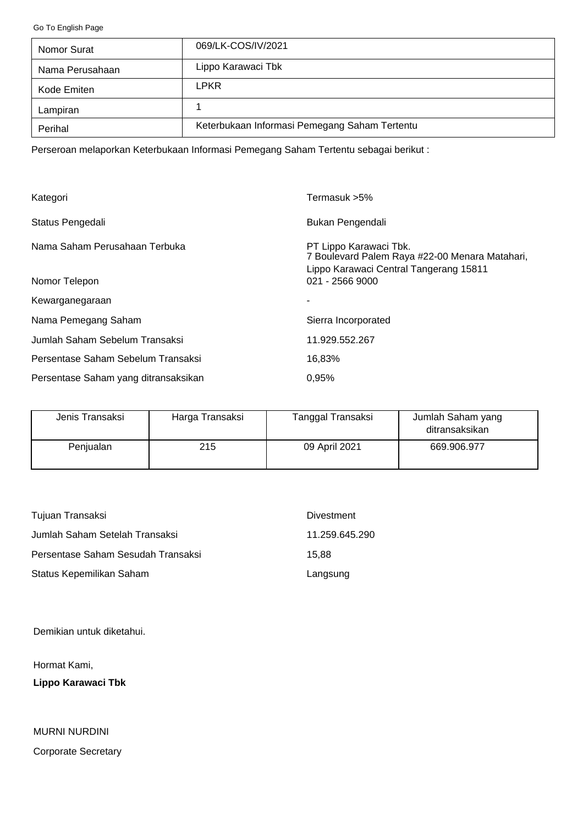<span id="page-0-0"></span>[Go To English Page](#page-2-0)

| Nomor Surat     | 069/LK-COS/IV/2021                            |
|-----------------|-----------------------------------------------|
| Nama Perusahaan | Lippo Karawaci Tbk                            |
| Kode Emiten     | <b>LPKR</b>                                   |
| Lampiran        |                                               |
| Perihal         | Keterbukaan Informasi Pemegang Saham Tertentu |

Perseroan melaporkan Keterbukaan Informasi Pemegang Saham Tertentu sebagai berikut :

| Kategori                             | Termasuk >5%                                                                                                       |
|--------------------------------------|--------------------------------------------------------------------------------------------------------------------|
| Status Pengedali                     | Bukan Pengendali                                                                                                   |
| Nama Saham Perusahaan Terbuka        | PT Lippo Karawaci Tbk.<br>7 Boulevard Palem Raya #22-00 Menara Matahari,<br>Lippo Karawaci Central Tangerang 15811 |
| Nomor Telepon                        | 021 - 2566 9000                                                                                                    |
| Kewarganegaraan                      |                                                                                                                    |
| Nama Pemegang Saham                  | Sierra Incorporated                                                                                                |
| Jumlah Saham Sebelum Transaksi       | 11.929.552.267                                                                                                     |
| Persentase Saham Sebelum Transaksi   | 16,83%                                                                                                             |
| Persentase Saham yang ditransaksikan | 0.95%                                                                                                              |

| Jenis Transaksi | Harga Transaksi | Tanggal Transaksi | Jumlah Saham yang<br>ditransaksikan |
|-----------------|-----------------|-------------------|-------------------------------------|
| Penjualan       | 215             | 09 April 2021     | 669.906.977                         |

| Tujuan Transaksi                   | Divestment     |
|------------------------------------|----------------|
| Jumlah Saham Setelah Transaksi     | 11.259.645.290 |
| Persentase Saham Sesudah Transaksi | 15.88          |
| Status Kepemilikan Saham           | Langsung       |

Demikian untuk diketahui.

Hormat Kami,

**Lippo Karawaci Tbk**

Corporate Secretary MURNI NURDINI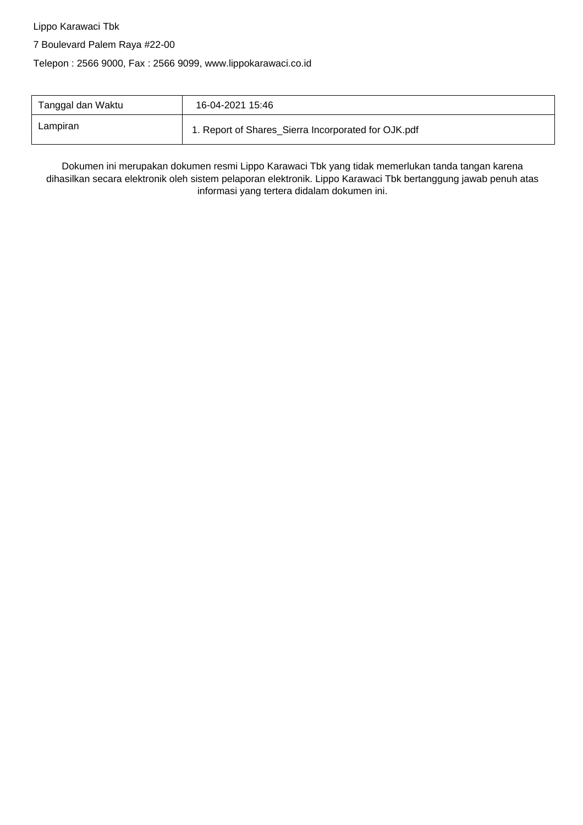Lippo Karawaci Tbk

7 Boulevard Palem Raya #22-00

Telepon : 2566 9000, Fax : 2566 9099, www.lippokarawaci.co.id

| Tanggal dan Waktu | 16-04-2021 15:46                                    |
|-------------------|-----------------------------------------------------|
| Lampiran          | 1. Report of Shares_Sierra Incorporated for OJK.pdf |

Dokumen ini merupakan dokumen resmi Lippo Karawaci Tbk yang tidak memerlukan tanda tangan karena dihasilkan secara elektronik oleh sistem pelaporan elektronik. Lippo Karawaci Tbk bertanggung jawab penuh atas informasi yang tertera didalam dokumen ini.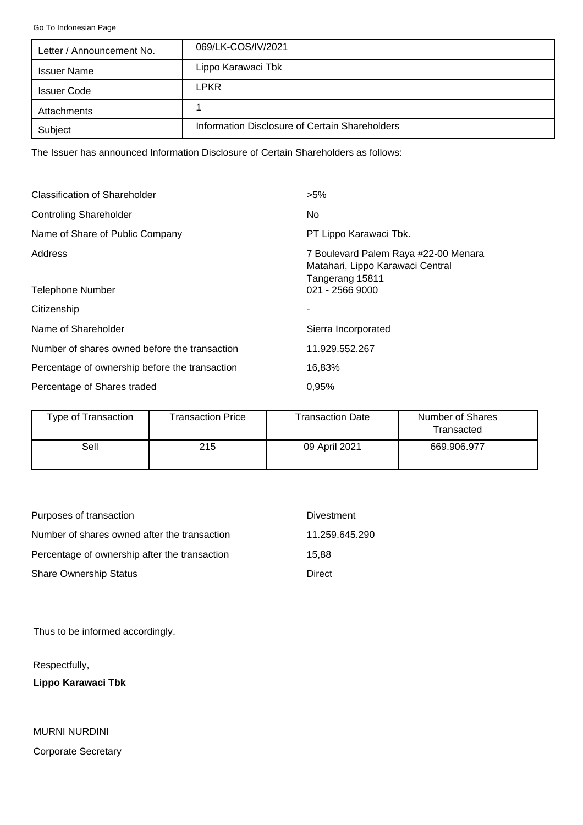<span id="page-2-0"></span>[Go To Indonesian Page](#page-0-0)

| Letter / Announcement No. | 069/LK-COS/IV/2021                             |
|---------------------------|------------------------------------------------|
| <b>Issuer Name</b>        | Lippo Karawaci Tbk                             |
| <b>Issuer Code</b>        | <b>LPKR</b>                                    |
| Attachments               |                                                |
| Subject                   | Information Disclosure of Certain Shareholders |

The Issuer has announced Information Disclosure of Certain Shareholders as follows:

| <b>Classification of Shareholder</b>           | $>5\%$                                                                                      |
|------------------------------------------------|---------------------------------------------------------------------------------------------|
| <b>Controling Shareholder</b>                  | No.                                                                                         |
| Name of Share of Public Company                | PT Lippo Karawaci Tbk.                                                                      |
| Address                                        | 7 Boulevard Palem Raya #22-00 Menara<br>Matahari, Lippo Karawaci Central<br>Tangerang 15811 |
| Telephone Number                               | 021 - 2566 9000                                                                             |
| Citizenship                                    |                                                                                             |
| Name of Shareholder                            | Sierra Incorporated                                                                         |
| Number of shares owned before the transaction  | 11.929.552.267                                                                              |
| Percentage of ownership before the transaction | 16,83%                                                                                      |
| Percentage of Shares traded                    | 0.95%                                                                                       |

| Type of Transaction | Transaction Price | <b>Transaction Date</b> | Number of Shares<br>Transacted |
|---------------------|-------------------|-------------------------|--------------------------------|
| Sell                | 215               | 09 April 2021           | 669.906.977                    |

| Purposes of transaction                       | <b>Divestment</b> |
|-----------------------------------------------|-------------------|
| Number of shares owned after the transaction  | 11.259.645.290    |
| Percentage of ownership after the transaction | 15.88             |
| <b>Share Ownership Status</b>                 | Direct            |

Thus to be informed accordingly.

Respectfully,

**Lippo Karawaci Tbk**

MURNI NURDINI Corporate Secretary